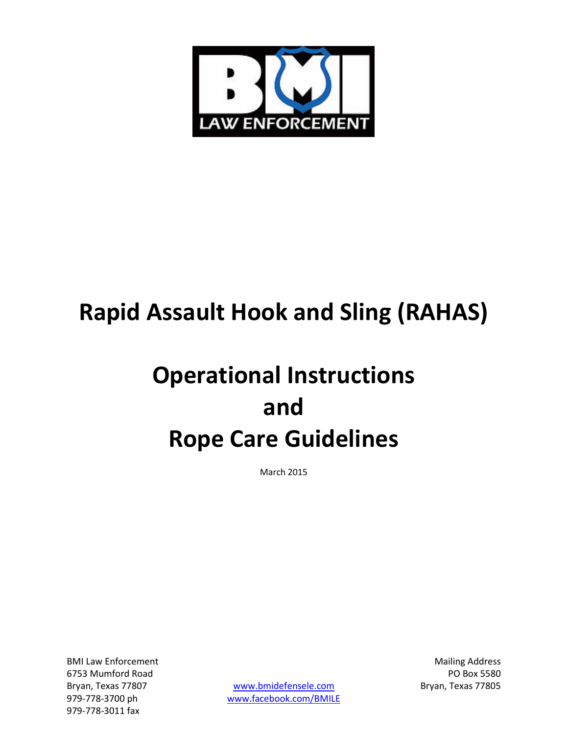

# **Rapid Assault Hook and Sling (RAHAS)**

# **Operational Instructions and Rope Care Guidelines**

March 2015

BMI Law Enforcement **Mailing Address** and Mailing Address 6753 Mumford Road PO Box 5580 979-778-3011 fax

Bryan, Texas 77807 **[www.bmidefensele.com](http://www.bmidefensele.com/)** Bryan, Texas 77805 979-778-3700 ph [www.facebook.com/BMILE](http://www.facebook.com/BMILE)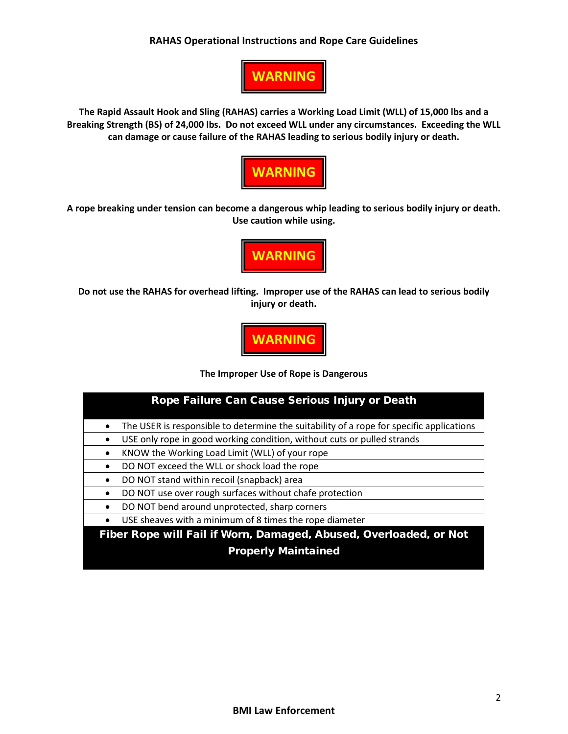### **RAHAS Operational Instructions and Rope Care Guidelines**



**The Rapid Assault Hook and Sling (RAHAS) carries a Working Load Limit (WLL) of 15,000 lbs and a Breaking Strength (BS) of 24,000 lbs. Do not exceed WLL under any circumstances. Exceeding the WLL can damage or cause failure of the RAHAS leading to serious bodily injury or death.**



**A rope breaking under tension can become a dangerous whip leading to serious bodily injury or death. Use caution while using.**



**Do not use the RAHAS for overhead lifting. Improper use of the RAHAS can lead to serious bodily injury or death.**

**WARNING**

#### **The Improper Use of Rope is Dangerous**

| Rope Failure Can Cause Serious Injury or Death                                                        |
|-------------------------------------------------------------------------------------------------------|
| The USER is responsible to determine the suitability of a rope for specific applications<br>$\bullet$ |
| USE only rope in good working condition, without cuts or pulled strands<br>$\bullet$                  |
| KNOW the Working Load Limit (WLL) of your rope<br>$\bullet$                                           |
| DO NOT exceed the WLL or shock load the rope<br>$\bullet$                                             |
| DO NOT stand within recoil (snapback) area<br>$\bullet$                                               |
| DO NOT use over rough surfaces without chafe protection<br>$\bullet$                                  |
| DO NOT bend around unprotected, sharp corners<br>$\bullet$                                            |
| USE sheaves with a minimum of 8 times the rope diameter<br>$\bullet$                                  |
| Fiber Rope will Fail if Worn, Damaged, Abused, Overloaded, or Not                                     |

#### Properly Maintained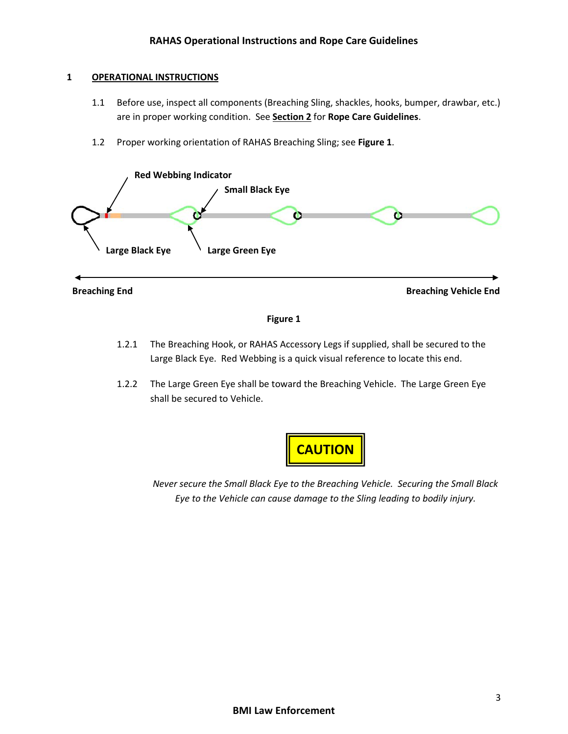#### **1 OPERATIONAL INSTRUCTIONS**

- 1.1 Before use, inspect all components (Breaching Sling, shackles, hooks, bumper, drawbar, etc.) are in proper working condition. See **Section 2** for **Rope Care Guidelines**.
- 1.2 Proper working orientation of RAHAS Breaching Sling; see **Figure 1**.



**Breaching End Breaching Vehicle End**

#### **Figure 1**

- 1.2.1 The Breaching Hook, or RAHAS Accessory Legs if supplied, shall be secured to the Large Black Eye. Red Webbing is a quick visual reference to locate this end.
- 1.2.2 The Large Green Eye shall be toward the Breaching Vehicle. The Large Green Eye shall be secured to Vehicle.



*Never secure the Small Black Eye to the Breaching Vehicle. Securing the Small Black Eye to the Vehicle can cause damage to the Sling leading to bodily injury.*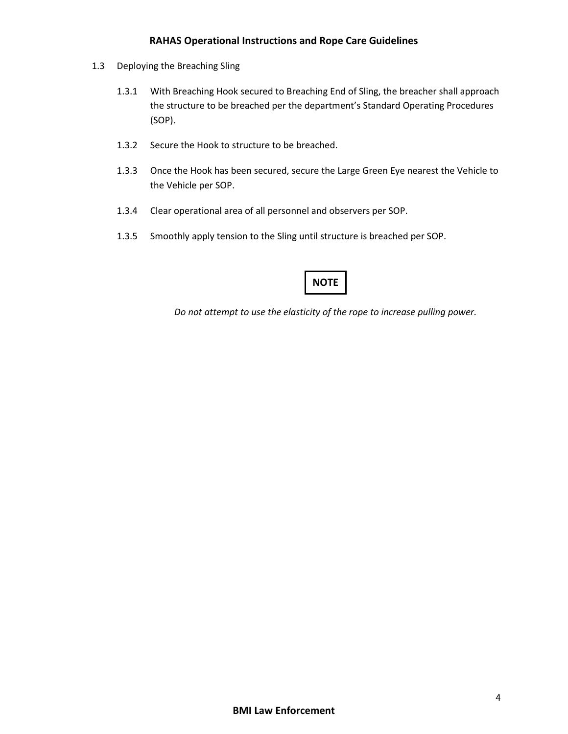### **RAHAS Operational Instructions and Rope Care Guidelines**

- 1.3 Deploying the Breaching Sling
	- 1.3.1 With Breaching Hook secured to Breaching End of Sling, the breacher shall approach the structure to be breached per the department's Standard Operating Procedures (SOP).
	- 1.3.2 Secure the Hook to structure to be breached.
	- 1.3.3 Once the Hook has been secured, secure the Large Green Eye nearest the Vehicle to the Vehicle per SOP.
	- 1.3.4 Clear operational area of all personnel and observers per SOP.
	- 1.3.5 Smoothly apply tension to the Sling until structure is breached per SOP.

## **NOTE**

*Do not attempt to use the elasticity of the rope to increase pulling power.*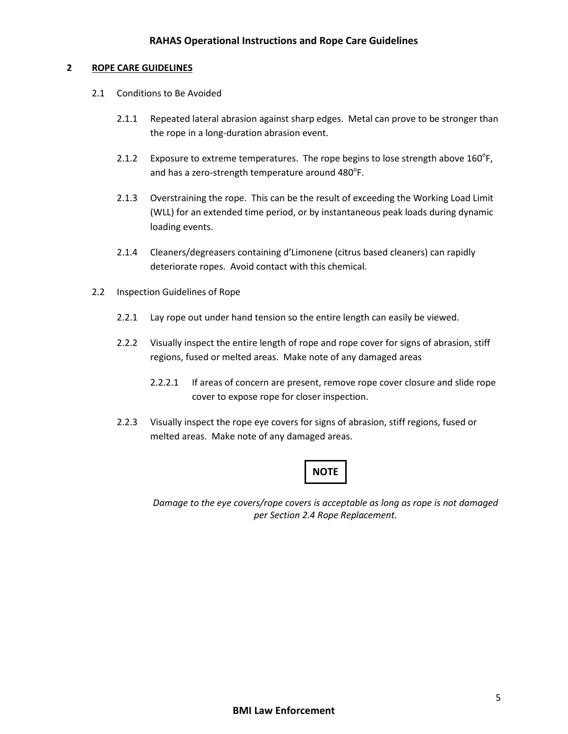#### **2 ROPE CARE GUIDELINES**

- 2.1 Conditions to Be Avoided
	- 2.1.1 Repeated lateral abrasion against sharp edges. Metal can prove to be stronger than the rope in a long-duration abrasion event.
	- 2.1.2 Exposure to extreme temperatures. The rope begins to lose strength above  $160^{\circ}$ F, and has a zero-strength temperature around  $480^{\circ}$ F.
	- 2.1.3 Overstraining the rope. This can be the result of exceeding the Working Load Limit (WLL) for an extended time period, or by instantaneous peak loads during dynamic loading events.
	- 2.1.4 Cleaners/degreasers containing d'Limonene (citrus based cleaners) can rapidly deteriorate ropes. Avoid contact with this chemical.
- 2.2 Inspection Guidelines of Rope
	- 2.2.1 Lay rope out under hand tension so the entire length can easily be viewed.
	- 2.2.2 Visually inspect the entire length of rope and rope cover for signs of abrasion, stiff regions, fused or melted areas. Make note of any damaged areas
		- 2.2.2.1 If areas of concern are present, remove rope cover closure and slide rope cover to expose rope for closer inspection.
	- 2.2.3 Visually inspect the rope eye covers for signs of abrasion, stiff regions, fused or melted areas. Make note of any damaged areas.

## **NOTE**

*Damage to the eye covers/rope covers is acceptable as long as rope is not damaged per Section 2.4 Rope Replacement.*